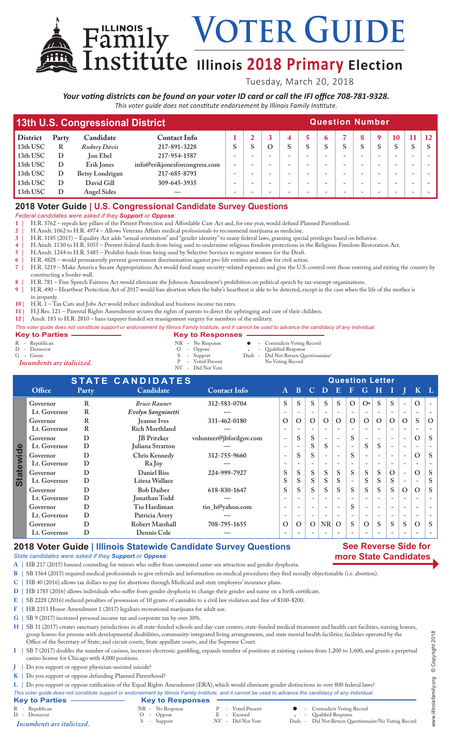**Voter Guide**

# $\overline{\text{institute}}$  Illinois 2018 Primary Election

Tuesday, March 20, 2018

*Your voting districts can be found on your voter ID card or call the IFI office 708-781-9328. This voter guide does not constitute endorsement by Illinois Family Institute.*

|                 |                                           | 13th U.S. Congressional District | <b>Question Number</b>        |  |  |          |  |  |  |  |   |           |    |               |  |
|-----------------|-------------------------------------------|----------------------------------|-------------------------------|--|--|----------|--|--|--|--|---|-----------|----|---------------|--|
| <b>District</b> | Candidate<br><b>Contact Info</b><br>Party |                                  |                               |  |  |          |  |  |  |  | q | <b>10</b> | 41 | $11 \quad 12$ |  |
| 13th USC        | R                                         | Rodney Davis                     | 217-891-3228                  |  |  | $\Omega$ |  |  |  |  | S | S         |    |               |  |
| 13th USC        | D                                         | <b>Jon Ebel</b>                  | 217-954-1587                  |  |  |          |  |  |  |  |   |           |    |               |  |
| 13th USC        | D                                         | Erik Jones                       | info@erikjonesforcongress.com |  |  |          |  |  |  |  |   |           |    |               |  |
| 13th USC        | D                                         | <b>Betsy Londrigan</b>           | 217-685-8793                  |  |  |          |  |  |  |  |   |           |    |               |  |
| 13th USC        | D                                         | David Gill                       | 309-645-3935                  |  |  |          |  |  |  |  |   |           |    |               |  |
| 13th USC        | D                                         | <b>Angel Sides</b>               |                               |  |  |          |  |  |  |  |   |           |    |               |  |

# **2018 Voter Guide | U.S. Congressional Candidate Survey Questions**

### *Federal candidates were asked if they Support or Oppose:*

**1 |** H.R. 3762 – repeals key pillars of the Patient Protection and Affordable Care Act and, for one year, would defund Planned Parenthood.

**2 |** H.Amdt. 1062 to H.R. 4974 – Allows Veterans Affairs medical professionals to recommend marijuana as medicine.

**3 |** H.R. 3185 (2015) – Equality Act adds "sexual orientation" and "gender identity" to many federal laws, granting special privileges based on behavior.

**4 |** H.Amdt. 1130 to H.R. 5055 – Prevent federal funds from being used to undermine religious freedom protections in the Religious Freedom Restoration Act.

**5 |** H.Amdt. 1244 to H.R. 5485 – Prohibit funds from being used by Selective Services to register women for the Draft. **6 |** H.R. 4828 – would permanently prevent government discrimination against pro-life entities and allow for civil action.

**7 |** H.R. 3219 – Make America Secure Appropriations Act would fund many security-related expenses and give the U.S. control over those entering and exiting the country by constructing a border wall.

**8 |** H.R. 781 – Free Speech Fairness Act would eliminate the Johnson Amendment's prohibition on political speech by tax-exempt organizations.

**9 |** H.R. 490 – Heartbeat Protection Act of 2017 would ban abortion when the baby's heartbeat is able to be detected, except in the case when the life of the mother is

- in jeopardy.
- **10 |** H.R. 1 Tax Cuts and Jobs Act would reduce individual and business income tax rates.

Family

- **11 |** H.J.Res. 121 Parental Rights Amendment secures the rights of parents to direct the upbringing and care of their children.
- **12 |** Amdt. 183 to H.R. 2810 bans taxpayer funded sex reassignment surgery for members of the military.

|  |   | This voter guide does not constitute support or endorsement by Illinois Family Institute, and it cannot be used to advance the candidacy of any individual. |  |  |  |  |  |  |
|--|---|-------------------------------------------------------------------------------------------------------------------------------------------------------------|--|--|--|--|--|--|
|  | . |                                                                                                                                                             |  |  |  |  |  |  |

| Key to Parties -                                                            | <b>Key to Responses</b>                                                                                                                                                                                      |
|-----------------------------------------------------------------------------|--------------------------------------------------------------------------------------------------------------------------------------------------------------------------------------------------------------|
| R - Republican<br>D - Democrat<br>$G - Green$<br>Incumbents are italicized. | • Contradicts Voting Record<br>NR - No Response<br>- Qualified Response<br>$O$ - Oppose<br>Dash - Did Not Return Questionnaire/<br>S - Support<br>P - Voted Present<br>No Voting Record<br>NV - Did Not Vote |

|            | <b>STATE CANDIDATES</b> |              |                       |                          | <b>Question Letter</b>   |                          |    |                          |                          |                          |                          |    |                          |                          |          |                           |
|------------|-------------------------|--------------|-----------------------|--------------------------|--------------------------|--------------------------|----|--------------------------|--------------------------|--------------------------|--------------------------|----|--------------------------|--------------------------|----------|---------------------------|
|            | Office                  | <b>Party</b> | Candidate             | <b>Contact Info</b>      | $\mathbf{A}$             | B.                       | C. | D.                       | $\bullet$                | $\mathbf F$              | G                        | н  |                          |                          |          | $\mathbf{K}$ $\mathbf{L}$ |
|            | Governor                | R            | <b>Bruce Rauner</b>   | 312-583-0704             | S                        | S                        |    |                          | S                        | O:                       | $O^{\bullet}$            | S  | S.                       |                          |          |                           |
|            | Lt. Governor            | R            | Evelyn Sanguinetti    |                          |                          |                          |    |                          |                          |                          |                          |    |                          |                          |          |                           |
|            | Governor                | R            | <b>Jeanne Ives</b>    | 331-462-0180             | O:                       | $\Omega$                 | O: | 0:0                      |                          | $\vdots$ O $\vdots$      | O:                       |    | O:O:                     | $\Omega$                 | S        | $\Omega$                  |
|            | Lt. Governor            | R            | <b>Rich Morthland</b> |                          |                          |                          |    |                          |                          |                          |                          |    |                          |                          |          |                           |
|            | Governor                | D            | <b>IB</b> Pritzker    | volunteer@jbforilgov.com | $\overline{\phantom{0}}$ | S                        | S  |                          | $\overline{a}$           | S.                       |                          |    |                          | $\overline{\phantom{a}}$ | $\Omega$ | $\mathbf{S}$              |
| wid        | Lt. Governor            | D            | Juliana Stratton      |                          | $\overline{\phantom{a}}$ |                          |    | S.                       | $\overline{\phantom{a}}$ |                          | S:                       | S  | $\overline{\phantom{a}}$ | $\overline{\phantom{a}}$ |          |                           |
|            | Governor                | D            | Chris Kennedy         | 312-755-9660             | $\overline{\phantom{a}}$ | S                        | S. |                          | $\overline{\phantom{a}}$ | <sub>S</sub>             |                          |    |                          | $\overline{\phantom{a}}$ | $\Omega$ | $\therefore$ S            |
| $\omega$   | Lt. Governor            | D            | Ra Joy                |                          |                          |                          |    |                          |                          |                          |                          |    |                          |                          |          |                           |
|            | Governor                | D            | <b>Daniel Biss</b>    | 224-999-7927             | S                        | S                        | S  | S.                       | S                        | S.                       | $S$ :                    | S  | $\Omega$                 |                          | $\Omega$ |                           |
| <b>Sta</b> | Lt. Governor            | D            | Litesa Wallace        |                          | S                        | S                        | S  | S                        | S                        | $\overline{\phantom{0}}$ | $S$ :                    | S  | S                        |                          |          |                           |
|            | Governor                | D            | <b>Bob Daiber</b>     | 618-830-1647             | S.                       | S                        | S  | S.                       | S                        | S                        | $S \nightharpoonup$      | S. | S                        | $\Omega$                 | $\Omega$ | $\ddot{\mathbf{s}}$       |
|            | Lt. Governor            | D            | Jonathan Todd         |                          |                          |                          |    | $\overline{\phantom{a}}$ |                          |                          |                          |    |                          |                          |          |                           |
|            | Governor                | D            | Tio Hardiman          | tio_h@yahoo.com          | $\overline{\phantom{a}}$ |                          |    | $\overline{\phantom{a}}$ | $\overline{\phantom{a}}$ | S.                       | $\overline{\phantom{a}}$ |    |                          |                          |          |                           |
|            | Lt. Governor            | D            | Patricia Avery        |                          | $\overline{\phantom{a}}$ | $\overline{\phantom{a}}$ |    | $\overline{\phantom{a}}$ | $\overline{\phantom{a}}$ | $\overline{\phantom{0}}$ | $\overline{\phantom{a}}$ |    |                          | $\qquad \qquad$          |          |                           |
|            | Governor                | D            | Robert Marshall       | 708-795-1655             | $\overline{O}$           | $\Omega$                 |    | $O$ : NR: O              |                          | S                        | O:                       | S  | S                        | S                        | $\Omega$ | $\vdots$ S                |
|            | Lt. Governor            | D            | Dennis Cole           |                          |                          |                          |    |                          |                          |                          |                          |    |                          |                          |          |                           |

# **2018 Voter Guide | Illinois Statewide Candidate Survey Questions**

## **See Reverse Side for more State Candidates**

*State candidates were asked if they Support or Oppose:*

**A |** HB 217 (2015) banned counseling for minors who suffer from unwanted same-sex attraction and gender dysphoria.

- **B |** SB 1564 (2015) required medical professionals to give referrals and information on medical procedures they find morally objectionable (i.e. abortion).
- **C |** HB 40 (2016) allows tax dollars to pay for abortions through Medicaid and state employees' insurance plans.
- **D |** HB 1785 (2016) allows individuals who suffer from gender dysphoria to change their gender and name on a birth certificate.
- **E |** SB 2228 (2016) reduced penalties of possession of 10 grams of cannabis to a civil law violation and fine of \$100-\$200.
- **F |** HB 2353 House Amendment 1 (2017) legalizes recreational marijuana for adult use.
- **G |** SB 9 (2017) increased personal income tax and corporate tax by over 30%.

H | SB 31 (2017) creates sanctuary jurisdictions in all state-funded schools and day-care centers; state-funded medical treatment and health care facilities, nursing homes, group homes for persons with developmental disabilities, community-integrated living arrangements, and state mental health facilities; facilities operated by the Office of the Secretary of State; and circuit courts, State appellate courts, and the Supreme Court.

- **I |** SB 7 (2017) doubles the number of casinos, increases electronic gambling, expands number of positions at existing casinos from 1,200 to 1,600, and grants a perpetual casino license for Chicago with 4,000 positions.
- **J |** Do you support or oppose physician-assisted suicide?
- **K |** Do you support or oppose defunding Planned Parenthood?

**L |** Do you support or oppose ratification of the Equal Rights Amendment (ERA), which would eliminate gender distinctions in over 800 federal laws?

*This voter guide does not constitute support or endorsement by Illinois Family Institute, and it cannot be used to advance the candidacy of any individual.*

|                            |                         |                   | This voter quide does not constitute support or endorsement by Illinois Family Institute, and it cannot be used to advance the candidacy of any individual. |
|----------------------------|-------------------------|-------------------|-------------------------------------------------------------------------------------------------------------------------------------------------------------|
| <b>Key to Parties -</b>    | <b>Key to Responses</b> |                   |                                                                                                                                                             |
| R - Republican             | NR - No Response        | P - Voted Present | • Contradicts Voting Record                                                                                                                                 |
| D - Democrat               | $O$ - Oppose            | - Excused         | - Qualified Response                                                                                                                                        |
| Incumbents are italicized. | S - Support             | NV - Did Not Vote | Dash - Did Not Return Questionnaire/No Voting Record                                                                                                        |